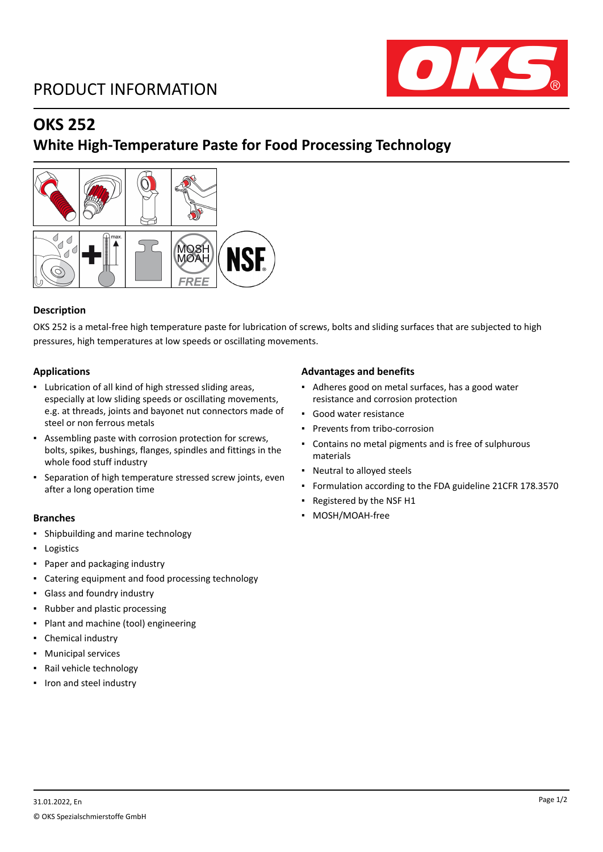## PRODUCT INFORMATION



## **OKS 252**

## **White High-Temperature Paste for Food Processing Technology**



### **Description**

OKS 252 is a metal-free high temperature paste for lubrication of screws, bolts and sliding surfaces that are subjected to high pressures, high temperatures at low speeds or oscillating movements.

#### **Applications**

- Lubrication of all kind of high stressed sliding areas, especially at low sliding speeds or oscillating movements, e.g. at threads, joints and bayonet nut connectors made of steel or non ferrous metals
- Assembling paste with corrosion protection for screws, bolts, spikes, bushings, flanges, spindles and fittings in the whole food stuff industry
- Separation of high temperature stressed screw joints, even after a long operation time

- Shipbuilding and marine technology
- Logistics
- Paper and packaging industry
- Catering equipment and food processing technology
- Glass and foundry industry
- Rubber and plastic processing
- Plant and machine (tool) engineering
- Chemical industry
- Municipal services
- Rail vehicle technology
- Iron and steel industry

#### **Advantages and benefits**

- Adheres good on metal surfaces, has a good water resistance and corrosion protection
- Good water resistance
- Prevents from tribo-corrosion
- Contains no metal pigments and is free of sulphurous materials
- Neutral to alloyed steels
- Formulation according to the FDA guideline 21CFR 178.3570
- Registered by the NSF H1
- **Branches Research Exercise Exercise 2018 Research EXERCISE 2018 12:30 PM COSH/MOAH-free**